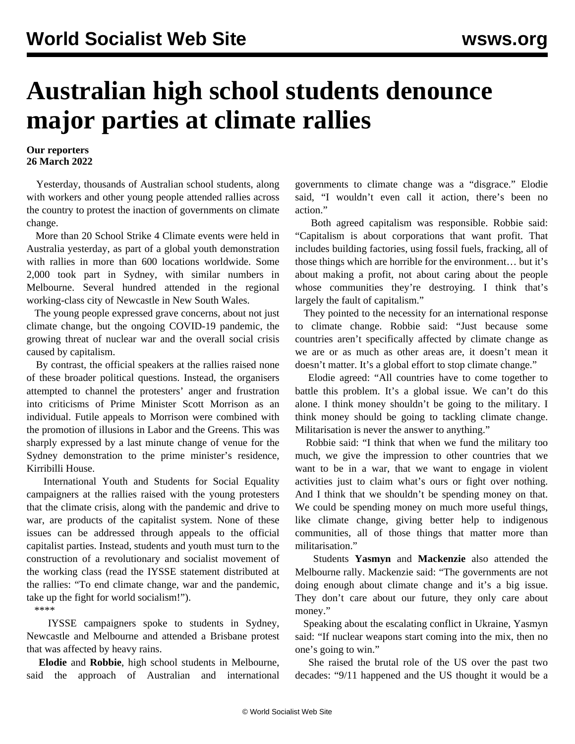## **Australian high school students denounce major parties at climate rallies**

## **Our reporters 26 March 2022**

 Yesterday, thousands of Australian school students, along with workers and other young people attended rallies across the country to protest the inaction of governments on climate change.

 More than 20 School Strike 4 Climate events were held in Australia yesterday, as part of a global youth demonstration with rallies in more than 600 locations worldwide. Some 2,000 took part in Sydney, with similar numbers in Melbourne. Several hundred attended in the regional working-class city of Newcastle in New South Wales.

 The young people expressed grave concerns, about not just climate change, but the ongoing COVID-19 pandemic, the growing threat of nuclear war and the overall social crisis caused by capitalism.

 By contrast, the official speakers at the rallies raised none of these broader political questions. Instead, the organisers attempted to channel the protesters' anger and frustration into criticisms of Prime Minister Scott Morrison as an individual. Futile appeals to Morrison were combined with the promotion of illusions in Labor and the Greens. This was sharply expressed by a last minute change of venue for the Sydney demonstration to the prime minister's residence, Kirribilli House.

 International Youth and Students for Social Equality campaigners at the rallies raised with the young protesters that the climate crisis, along with the pandemic and drive to war, are products of the capitalist system. None of these issues can be addressed through appeals to the official capitalist parties. Instead, students and youth must turn to the construction of a revolutionary and socialist movement of the working class (read the IYSSE statement distributed at the rallies: ["To end climate change, war and the pandemic,](/en/articles/2022/03/24/clim-m24.html) [take up the fight for world socialism!](/en/articles/2022/03/24/clim-m24.html)").

\*\*\*\*

 IYSSE campaigners spoke to students in Sydney, Newcastle and Melbourne and attended a Brisbane protest that was affected by heavy rains.

 **Elodie** and **Robbie**, high school students in Melbourne, said the approach of Australian and international governments to climate change was a "disgrace." Elodie said, "I wouldn't even call it action, there's been no action."

 Both agreed capitalism was responsible. Robbie said: "Capitalism is about corporations that want profit. That includes building factories, using fossil fuels, fracking, all of those things which are horrible for the environment… but it's about making a profit, not about caring about the people whose communities they're destroying. I think that's largely the fault of capitalism."

 They pointed to the necessity for an international response to climate change. Robbie said: "Just because some countries aren't specifically affected by climate change as we are or as much as other areas are, it doesn't mean it doesn't matter. It's a global effort to stop climate change."

 Elodie agreed: "All countries have to come together to battle this problem. It's a global issue. We can't do this alone. I think money shouldn't be going to the military. I think money should be going to tackling climate change. Militarisation is never the answer to anything."

 Robbie said: "I think that when we fund the military too much, we give the impression to other countries that we want to be in a war, that we want to engage in violent activities just to claim what's ours or fight over nothing. And I think that we shouldn't be spending money on that. We could be spending money on much more useful things, like climate change, giving better help to indigenous communities, all of those things that matter more than militarisation."

 Students **Yasmyn** and **Mackenzie** also attended the Melbourne rally. Mackenzie said: "The governments are not doing enough about climate change and it's a big issue. They don't care about our future, they only care about money."

 Speaking about the escalating conflict in Ukraine, Yasmyn said: "If nuclear weapons start coming into the mix, then no one's going to win."

 She raised the brutal role of the US over the past two decades: "9/11 happened and the US thought it would be a